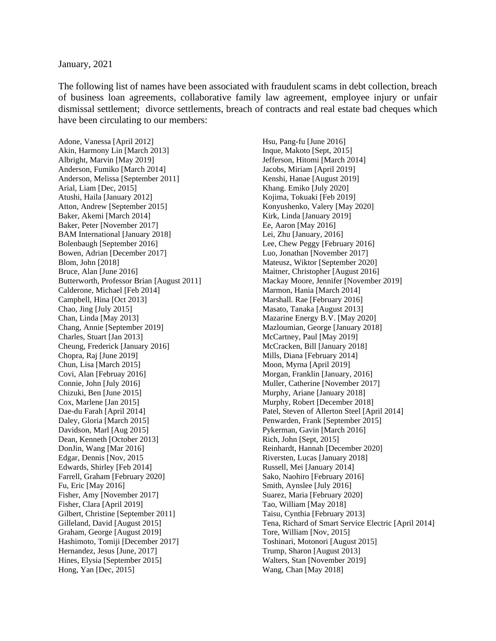## January, 2021

The following list of names have been associated with fraudulent scams in debt collection, breach of business loan agreements, collaborative family law agreement, employee injury or unfair dismissal settlement; divorce settlements, breach of contracts and real estate bad cheques which have been circulating to our members:

Adone, Vanessa [April 2012] Akin, Harmony Lin [March 2013] Albright, Marvin [May 2019] Anderson, Fumiko [March 2014] Anderson, Melissa [September 2011] Arial, Liam [Dec, 2015] Atushi, Haila [January 2012] Atton, Andrew [September 2015] Baker, Akemi [March 2014] Baker, Peter [November 2017] BAM International [January 2018] Bolenbaugh [September 2016] Bowen, Adrian [December 2017] Blom, John [2018] Bruce, Alan [June 2016] Butterworth, Professor Brian [August 2011] Calderone, Michael [Feb 2014] Campbell, Hina [Oct 2013] Chao, Jing [July 2015] Chan, Linda [May 2013] Chang, Annie [September 2019] Charles, Stuart [Jan 2013] Cheung, Frederick [January 2016] Chopra, Raj [June 2019] Chun, Lisa [March 2015] Covi, Alan [Februay 2016] Connie, John [July 2016] Chizuki, Ben [June 2015] Cox, Marlene [Jan 2015] Dae-du Farah [April 2014] Daley, Gloria [March 2015] Davidson, Marl [Aug 2015] Dean, Kenneth [October 2013] DonJin, Wang [Mar 2016] Edgar, Dennis [Nov, 2015 Edwards, Shirley [Feb 2014] Farrell, Graham [February 2020] Fu, Eric [May 2016] Fisher, Amy [November 2017] Fisher, Clara [April 2019] Gilbert, Christine [September 2011] Gilleland, David [August 2015] Graham, George [August 2019] Hashimoto, Tomiji [December 2017] Hernandez, Jesus [June, 2017] Hines, Elysia [September 2015] Hong, Yan [Dec, 2015]

Hsu, Pang-fu [June 2016] Inque, Makoto [Sept, 2015] Jefferson, Hitomi [March 2014] Jacobs, Miriam [April 2019] Kenshi, Hanae [August 2019] Khang. Emiko [July 2020] Kojima, Tokuaki [Feb 2019] Konyushenko, Valery [May 2020] Kirk, Linda [January 2019] Ee, Aaron [May 2016] Lei, Zhu [January, 2016] Lee, Chew Peggy [February 2016] Luo, Jonathan [November 2017] Mateusz, Wiktor [September 2020] Maitner, Christopher [August 2016] Mackay Moore, Jennifer [November 2019] Marmon, Hania [March 2014] Marshall. Rae [February 2016] Masato, Tanaka [August 2013] Mazarine Energy B.V. [May 2020] Mazloumian, George [January 2018] McCartney, Paul [May 2019] McCracken, Bill [January 2018] Mills, Diana [February 2014] Moon, Myrna [April 2019] Morgan, Franklin [January, 2016] Muller, Catherine [November 2017] Murphy, Ariane [January 2018] Murphy, Robert [December 2018] Patel, Steven of Allerton Steel [April 2014] Penwarden, Frank [September 2015] Pykerman, Gavin [March 2016] Rich, John [Sept, 2015] Reinhardt, Hannah [December 2020] Riversten, Lucas [January 2018] Russell, Mei [January 2014] Sako, Naohiro [February 2016] Smith, Aynslee [July 2016] Suarez, Maria [February 2020] Tao, William [May 2018] Taisu, Cynthia [February 2013] Tena, Richard of Smart Service Electric [April 2014] Tore, William [Nov, 2015] Toshinari, Motonori [August 2015] Trump, Sharon [August 2013] Walters, Stan [November 2019] Wang, Chan [May 2018]